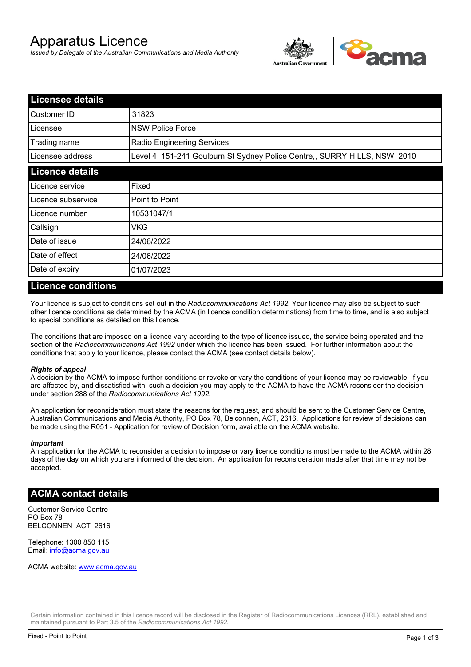# Apparatus Licence

*Issued by Delegate of the Australian Communications and Media Authority*



| <b>Licensee details</b> |                                                                          |  |
|-------------------------|--------------------------------------------------------------------------|--|
| Customer ID             | 31823                                                                    |  |
| Licensee                | <b>NSW Police Force</b>                                                  |  |
| Trading name            | Radio Engineering Services                                               |  |
| Licensee address        | Level 4 151-241 Goulburn St Sydney Police Centre,, SURRY HILLS, NSW 2010 |  |
| <b>Licence details</b>  |                                                                          |  |
| Licence service         | Fixed                                                                    |  |
| Licence subservice      | Point to Point                                                           |  |
| Licence number          | 10531047/1                                                               |  |
| Callsign                | VKG                                                                      |  |
| Date of issue           | 24/06/2022                                                               |  |
| Date of effect          | 24/06/2022                                                               |  |
| Date of expiry          | 01/07/2023                                                               |  |

#### **Licence conditions**

Your licence is subject to conditions set out in the *Radiocommunications Act 1992*. Your licence may also be subject to such other licence conditions as determined by the ACMA (in licence condition determinations) from time to time, and is also subject to special conditions as detailed on this licence.

The conditions that are imposed on a licence vary according to the type of licence issued, the service being operated and the section of the *Radiocommunications Act 1992* under which the licence has been issued. For further information about the conditions that apply to your licence, please contact the ACMA (see contact details below).

#### *Rights of appeal*

A decision by the ACMA to impose further conditions or revoke or vary the conditions of your licence may be reviewable. If you are affected by, and dissatisfied with, such a decision you may apply to the ACMA to have the ACMA reconsider the decision under section 288 of the *Radiocommunications Act 1992*.

An application for reconsideration must state the reasons for the request, and should be sent to the Customer Service Centre, Australian Communications and Media Authority, PO Box 78, Belconnen, ACT, 2616. Applications for review of decisions can be made using the R051 - Application for review of Decision form, available on the ACMA website.

#### *Important*

An application for the ACMA to reconsider a decision to impose or vary licence conditions must be made to the ACMA within 28 days of the day on which you are informed of the decision. An application for reconsideration made after that time may not be accepted.

#### **ACMA contact details**

Customer Service Centre PO Box 78 BELCONNEN ACT 2616

Telephone: 1300 850 115 Email: info@acma.gov.au

ACMA website: www.acma.gov.au

Certain information contained in this licence record will be disclosed in the Register of Radiocommunications Licences (RRL), established and maintained pursuant to Part 3.5 of the *Radiocommunications Act 1992.*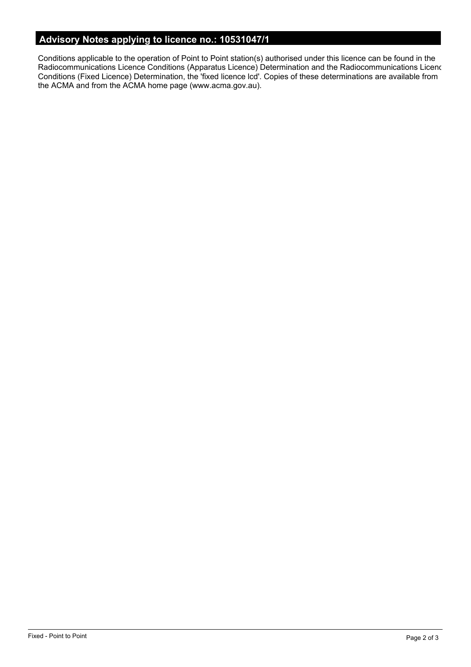# **Advisory Notes applying to licence no.: 10531047/1**

Conditions applicable to the operation of Point to Point station(s) authorised under this licence can be found in the Radiocommunications Licence Conditions (Apparatus Licence) Determination and the Radiocommunications Licence Conditions (Fixed Licence) Determination, the 'fixed licence lcd'. Copies of these determinations are available from the ACMA and from the ACMA home page (www.acma.gov.au).